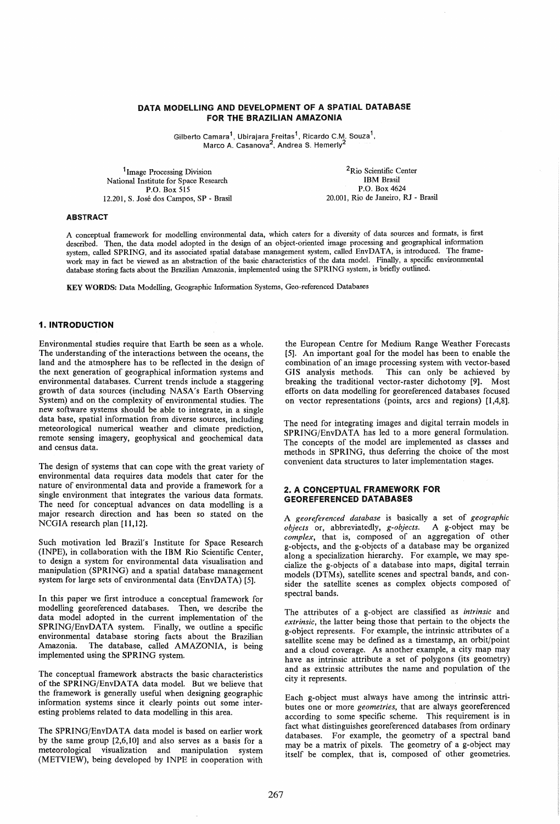### DATA MODELLING AND DEVELOPMENT OF A SPATIAL DATABASE FOR THE BRAZILIAN AMAZONIA

Gilberto Camara<sup>1</sup>, Ubirajara Freitas<sup>1</sup>, Ricardo C.M. Souza<sup>1</sup>, Marco A. Casanova<sup>2</sup>, Andrea S. Hemerly<sup>2</sup>

<sup>1</sup> Image Processing Division National Institute for Space Research P.O. Box 515 12.201, S. Jose dos Campos, SP - Brasil

2Rio Scientific Center IBM Brasil P.O. Box 4624 20.001, Rio de Janeiro, RJ - Brasil

#### ABSTRACT

A conceptual framework for modelling environmental data, which caters for a diversity of data sources and formats, is first described. Then, the data model adopted in the design of an object-oriented image processing and geographical information system, called SPRING, and its associated spatial database management system, called EnvDATA, is introduced. The framework may in fact be viewed as an abstraction of the basic characteristics of the data model. Finally, a specific environmental database storing facts about the Brazilian Amazonia, implemented using the SPRING system, is briefly outlined.

KEY WORDS: Data Modelling, Geographic Information Systems, Geo-referenced Databases

# 1. INTRODUCTION

Environmental studies require that Earth be seen as a whole. The understanding of the interactions between the oceans, the land and the atmosphere has to be reflected in the design of the next generation of geographical information systems and environmental databases. Current trends include a staggering growth of data sources (including NASA's Earth Observing System) and on the complexity of environmental studies. The new software systems should be able to integrate, in a single data base, spatial information from diverse sources, including meteorological numerical weather and climate prediction, remote sensing imagery, geophysical and geochemical data and census data.

The design of systems that can cope with the great variety of environmental data requires data models that cater for the nature of environmental data and provide a framework for a single environment that integrates the various data formats. The need for conceptual advances on data modelling is a major research direction and has been so stated on the NCGIA research plan [11,12].

Such motivation led Brazil's Institute for Space Research (INPE), in collaboration with the IBM Rio Scientific Center, to design a system for environmental data visualisation and manipulation (SPRING) and a spatial database management system for large sets of environmental data  $(EnvDATA)$  [5].

In this paper we first introduce a conceptual framework for modelling georeferenced databases. Then, we describe the data model adopted in the current implementation of the SPRING/EnvDATA system. Finally, we outline a specific environmental database storing facts about the Brazilian Amazonia. The database, called AMAZONIA, is being implemented using the SPRING system.

The conceptual framework abstracts the basic characteristics of the SPRING/EnvDATA data model. But we believe that the framework is generally useful when designing geographic information systems since it clearly points out some interesting problems related to data modelling in this area.

The SPRING/EnvDATA data model is based on earlier work by the same group [2,6,10] and also serves as a basis for a meteorological visualization and manipulation system (METVIEW), being developed by INPE in cooperation with

the European Centre for Medium Range Weather Forecasts [5]. An important goal for the model has been to enable the combination of an image processing system with vector-based GIS analysis methods. This can only be achieved by This can only be achieved by breaking the traditional vector-raster dichotomy [9J. Most efforts on data modelling for georeferenced databases focused on vector representations (points, arcs and regions) [1,4,8].

The need for integrating images and digital terrain models in SPRING/EnvDATA has led to a more general formulation. The concepts of the model are implemented as classes and methods in SPRING, thus deferring the choice of the most convenient data structures to later implementation stages.

### 2. A CONCEPTUAL FRAMEWORK FOR GEOREFERENCED DATABASES

A *georeferenced database* is basically a set of *geographic objects* or, abbreviatedly, *g-objects*. A g-object may be *complex*, that is, composed of an aggregation of other g-objects, and the g-objects of a database may be orgamzed along a specialization hierarchy. For example, we may specialize the g-objects of a database into maps, digital terrain models (DTMs), satellite scenes and spectral bands, and consider the satellite scenes as complex objects composed of spectral bands.

The attributes of a g-object are classified as *intrinsic* and *extrinsic,* the latter being those that pertain to the objects the g-object represents. For example, the intrinsic attributes of a satellite scene may be defined as a timestamp, an orbit/point and a cloud coverage. As another example, a city map may have as intrinsic attribute a set of polygons (its geometry) and as extrinsic attributes the name and population of the city it represents.

Each g-object must always have among the intrinsic attributes one or more *geometries,* that are always georeferenced according to some specific scheme. This requirement is in fact what distinguishes georeferenced databases from ordinary databases. For example, the geometry of a spectral band may be a matrix of pixels. The geometry of a g-object may itself be complex, that is, composed of other geometries.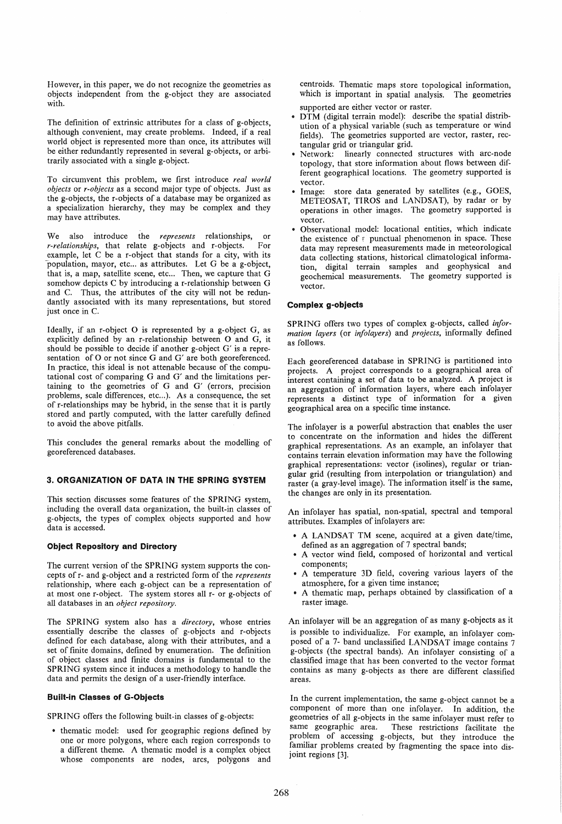However, in this paper, we do not recognize the geometries as objects independent from the g-object they are associated with.

The definition of extrinsic attributes for a class of g-objects, although convenient, may create problems. Indeed, if a real world object is represented more than once, its attributes will be either redundantly represented in several g-objects, or arbitrarily associated with a single g-object.

To circumvent this problem, we first introduce *real world objects* or *r-objects* as a second major type of objects. Just as the g-objects, the r-objects of a database may be organized as a specialization hierarchy, they may be complex and they may have attributes.

We also introduce the *represents* relationships, or<br>*r-relationships* that relate **g**-objects and r-objects. For *r-relationships*, that relate g-objects and r-objects. example, let C be a r-object that stands for a city, with its population, mayor, etc... as attributes. Let G be a g-object, that is, a map, satellite scene, etc... Then, we capture that G somehow depicts C by introducing a r-relationship between G and C. Thus, the attributes of the city will not be redundantly associated with its many representations, but stored just once in C.

Ideally, if an r-object 0 is represented by a g-object G, as explicitly defined by an r-relationship between 0 and G, it should be possible to decide if another g-object G' is a representation of O or not since G and G' are both georeferenced. In practice, this ideal is not attenable because of the computational cost of comparing G and G' and the limitations pertaining to the geometries of G and G' (errors, precision problems, scale differences, etc...). As a consequence, the set of r-relationships may be hybrid, in the sense that it is partly stored and partly computed, with the latter carefully defined to avoid the above pitfalls.

This concludes the general remarks about the modelling of georeferenced databases.

# 3. ORGANIZATION OF DATA IN THE SPRING SYSTEM

This section discusses some features of the SPRING system, including the overall data organization. the built-in classes of g-objects, the types of complex objects supported and how data is accessed.

## Object Repository and Directory

The current version of the SPRING system supports the concepts of r- and g-object and a restricted form of the *represents*  relationship, where each g-object can be a representation of at most one r-object. The system stores all r- or g-objects of all databases in an *object repository.* 

The SPRING system also has a *directory,* whose entries essentially describe the classes of g-objects and r-objects defined for each database, along with their attributes, and a set of finite domains, defined by enumeration. The definition of object classes and finite domains is fundamental to the SPRING system since it induces a methodology to handle the data and permits the design of a user-friendly interface.

#### Built-in Classes of G-Objects

SPRING offers the following built-in classes of g-objects:

• thematic model: used for geographic regions defined by one or more polygons. where each region corresponds to a different theme. A thematic model is a complex object whose components are nodes, arcs, polygons and centroids. Thematic maps store topological information, which is important in spatial analysis. The geometries supported are either vector or raster.

- $D\hat{T}M$  (digital terrain model): describe the spatial distribution of a physical variable (such as temperature or wind fields). The geometries supported are vector, raster, rectangular grid or triangular grid.
- Network: linearly connected structures with arc-node topology, that store information about flows between different geographical locations. The geometry supported is vector.
- Image: store data generated by satellites (e.g., GOES, METEOSAT, TIROS and LANDSAT), by radar or by operations in other images. The geometry supported is vector.
- Observational model: locational entities, which indicate the existence of  $\varepsilon$  punctual phenomenon in space. These data may represent measurements made in meteorological data collecting stations, historical climatological information, digital terrain samples and geophysical and geochemical measurements. The geometry supported is vector.

#### Complex g-objects

SPRING offers two types of complex g-objects, called *information layers* (or *info/ayers)* and *projects,* informally defined as follows.

Each georeferenced database in SPRING is partitioned into projects. A project corresponds to a geographical area of interest containing a set of data to be analyzed. A project is an aggregation of information layers, where each infolayer represents a distinct type of information for a given geographical area on a specific time instance.

The infolayer is a powerful abstraction that enables the user to concentrate on the information and hides the different graphical representations. As an example, an infolayer that contains terrain elevation information may have the following graphical representations: vector (isolines), regular or triangular grid (resulting from interpolation or triangulation) and raster (a gray-level image). The information itself is the same, the changes are only in its presentation.

An infolayer has spatial, non-spatial, spectral and temporal attributes. Examples of infolayers are:

- A LANDSAT TM scene, acquired at a given date/time, defined as an aggregation of 7 spectral bands;
- A vector wind field, composed of horizontal and vertical components;
- A temperature 3D field, covering various layers of the atmosphere, for a given time instance;
- A thematic map, perhaps obtained by classification of a raster image.

An infolayer will be an aggregation of as many g-objects as it is possible to individualize. For example, an infolayer composed of a 7- band unclassified LANDSAT image contains 7 g-objects (the spectral bands). An infolayer consisting of a classified image that has been converted to the vector format contains as many g-objects as there are different classified areas.

In the current implementation, the same g-object cannot be a component of more than one infolayer. In addition, the geometries of all g-objects in the same infolayer must refer to These restrictions facilitate the problem of accessing g-objects, but they introduce the familiar problems created by fragmenting the space into disjoint regions [3].